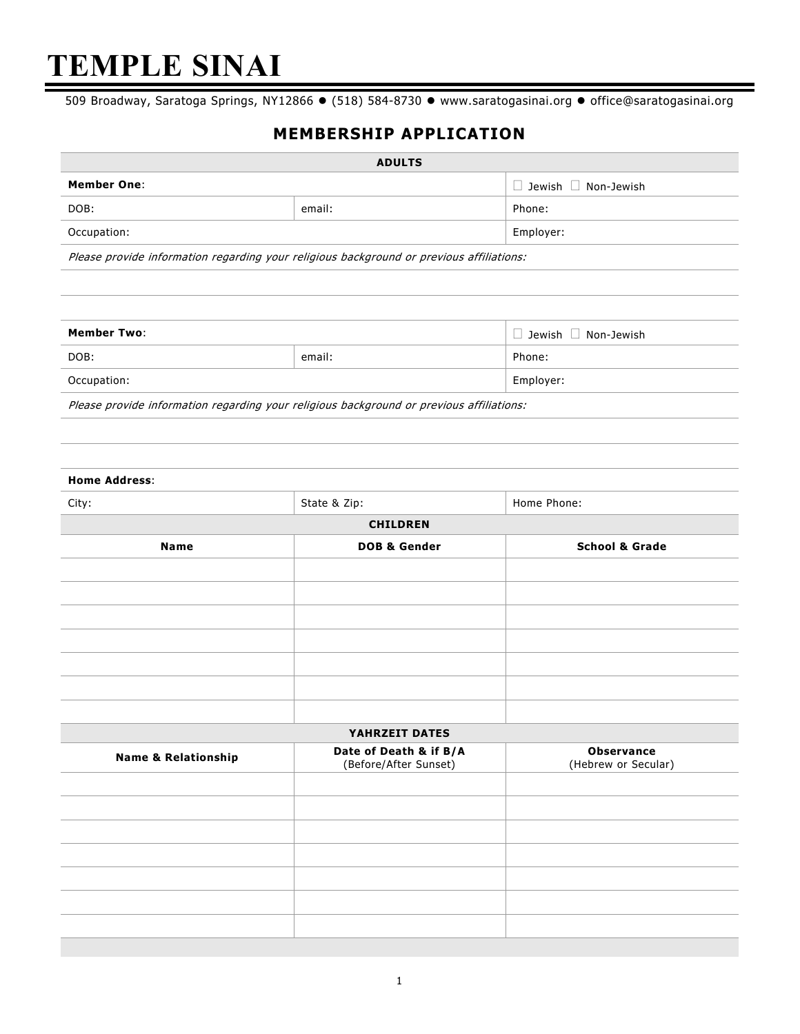# **TEMPLE SINAI**

509 Broadway, Saratoga Springs, NY12866 · (518) 584-8730 · www.saratogasinai.org · office@saratogasinai.org

## **MEMBERSHIP APPLICATION**

| <b>ADULTS</b>      |        |                                 |  |
|--------------------|--------|---------------------------------|--|
| <b>Member One:</b> |        | $\Box$ Jewish $\Box$ Non-Jewish |  |
| DOB:               | email: | Phone:                          |  |
| Occupation:        |        | Employer:                       |  |

Please provide information regarding your religious background or previous affiliations:

| <b>Member Two:</b> |        | $\Box$ Jewish $\Box$ Non-Jewish |
|--------------------|--------|---------------------------------|
| DOB:               | email: | Phone:                          |
| Occupation:        |        | Employer:                       |
|                    |        |                                 |

Please provide information regarding your religious background or previous affiliations:

| <b>Home Address:</b>           |                                                 |                                          |
|--------------------------------|-------------------------------------------------|------------------------------------------|
| City:                          | State & Zip:                                    | Home Phone:                              |
|                                | <b>CHILDREN</b>                                 |                                          |
| <b>Name</b>                    | <b>DOB &amp; Gender</b>                         | <b>School &amp; Grade</b>                |
|                                |                                                 |                                          |
|                                |                                                 |                                          |
|                                |                                                 |                                          |
|                                |                                                 |                                          |
|                                |                                                 |                                          |
|                                |                                                 |                                          |
|                                |                                                 |                                          |
|                                | YAHRZEIT DATES                                  |                                          |
| <b>Name &amp; Relationship</b> | Date of Death & if B/A<br>(Before/After Sunset) | <b>Observance</b><br>(Hebrew or Secular) |

| <b>Name &amp; Relationship</b> | Date of Death & II D/A<br>(Before/After Sunset) | <b>UNSEL VALILE</b><br>(Hebrew or Secular) |  |
|--------------------------------|-------------------------------------------------|--------------------------------------------|--|
|                                |                                                 |                                            |  |
|                                |                                                 |                                            |  |
|                                |                                                 |                                            |  |
|                                |                                                 |                                            |  |
|                                |                                                 |                                            |  |
|                                |                                                 |                                            |  |
|                                |                                                 |                                            |  |
|                                |                                                 |                                            |  |